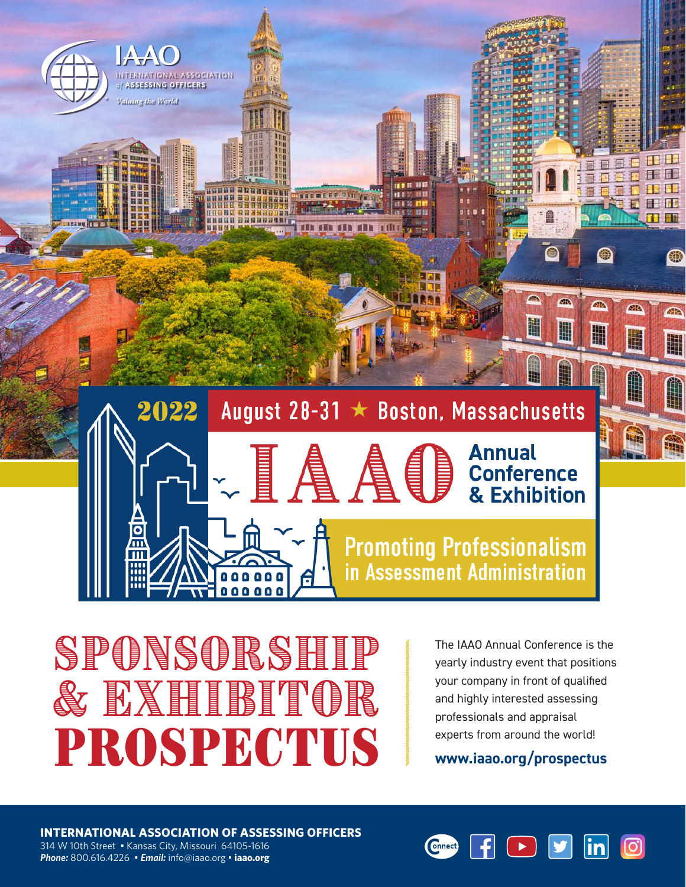

SPONSORSHIP & EXHIBITOR **PROSPECTUS** 

The IAAO Annual Conference is the yearly industry event that positions your company in front of qualified and highly interested assessing professionals and appraisal experts from around the world!

**www[.iaao.org/prospectus](http://www.iaao.org/prospectus)**

**INTERNATIONAL ASSOCIATION OF ASSESSING OFFICERS** 314 W 10th Street • Kansas City, Missouri 64105-1616 *Phone:* 800.616.4226 • *Email:* info@iaao.org • **[iaao.org](http://iaao.org)**

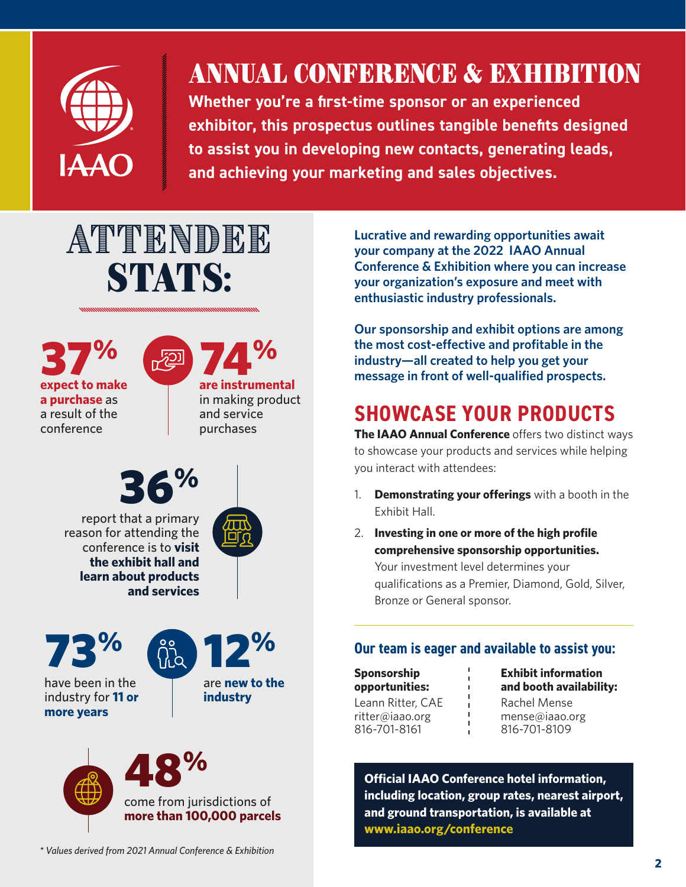

## ANNUAL CONFERENCE & EXHIBITION

**Whether you're a first-time sponsor or an experienced exhibitor, this prospectus outlines tangible benefits designed to assist you in developing new contacts, generating leads, and achieving your marketing and sales objectives.**

# **ATTENDEE** STATS:

37% **expect to make a purchase** as a result of the conference



in making product and service purchases





have been in the industry for **11 or more years**



are **new to the industry**



**Lucrative and rewarding opportunities await your company at the 2022 IAAO Annual Conference & Exhibition where you can increase your organization's exposure and meet with enthusiastic industry professionals.**

**Our sponsorship and exhibit options are among the most cost-effective and profitable in the industry—all created to help you get your message in front of well-qualified prospects.**

## **SHOWCASE YOUR PRODUCTS**

**The IAAO Annual Conference** offers two distinct ways to showcase your products and services while helping you interact with attendees:

- 1. **Demonstrating your offerings** with a booth in the Exhibit Hall.
- 2. **Investing in one or more of the high profile comprehensive sponsorship opportunities.**  Your investment level determines your qualifications as a Premier, Diamond, Gold, Silver, Bronze or General sponsor.

#### **Our team is eager and available to assist you:**

**Sponsorship opportunities:** Leann Ritter, CAE [ritter@iaao.org](mailto:ritter%40iaao.org?subject=2020%20IAAO%20Conference%20Sponsorship) 816-701-8161

**Exhibit information and booth availability:** Rachel Mense [mense@iaao.org](mailto:mense%40iaao.org%20?subject=2020%20IAAO%20Conference%20Exhibit%20Information) 816-701-8109

**Official IAAO Conference hotel information, including location, group rates, nearest airport, and ground transportation, is available at [www.iaao.org/c](http://iaao.org/conference)onference**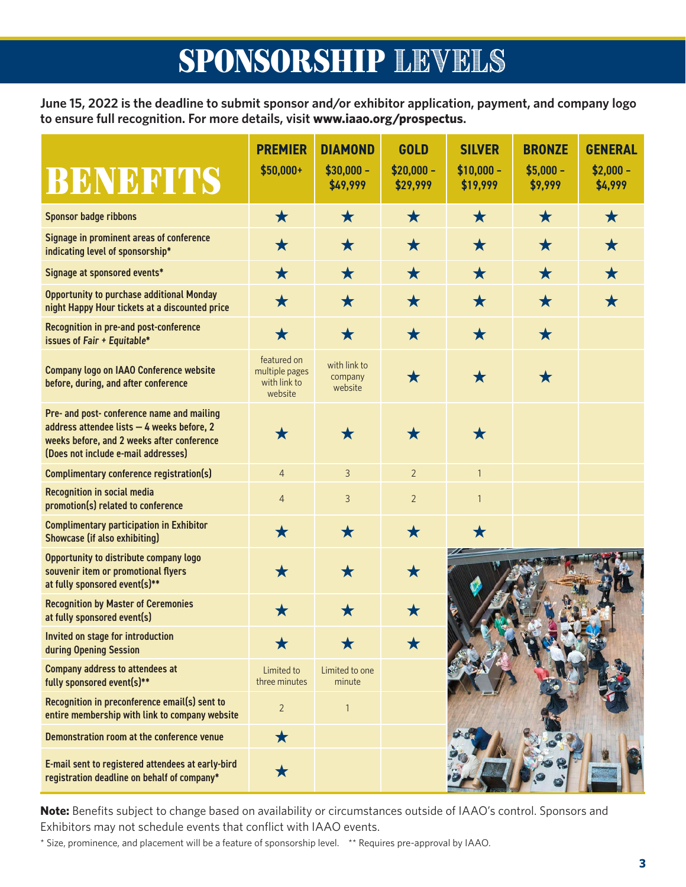## SPONSORSHIP LEVELS

**June 15, 2022 is the deadline to submit sponsor and/or exhibitor application, payment, and company logo to ensure full recognition. For more details, visit [www.iaao.org/prospectus](http://iaao.org/prospectus).**

| BENEFITS                                                                                                                                                                      | <b>PREMIER</b><br>$$50,000+$                             | <b>DIAMOND</b><br>$$30,000 -$<br>\$49,999 | <b>GOLD</b><br>$$20,000 -$<br>\$29,999 | <b>SILVER</b><br>$$10,000 -$<br>\$19,999 | <b>BRONZE</b><br>$$5,000 -$<br>\$9,999 | <b>GENERAL</b><br>$$2,000 -$<br>\$4,999 |
|-------------------------------------------------------------------------------------------------------------------------------------------------------------------------------|----------------------------------------------------------|-------------------------------------------|----------------------------------------|------------------------------------------|----------------------------------------|-----------------------------------------|
| <b>Sponsor badge ribbons</b>                                                                                                                                                  | $\bigstar$                                               | $\bigstar$                                | $\bigstar$                             | $\bigstar$                               | $\bigstar$                             | $\bigstar$                              |
| Signage in prominent areas of conference<br>indicating level of sponsorship*                                                                                                  | $\bigstar$                                               | $\bigstar$                                | $\bigstar$                             | $\bigstar$                               | $\bigstar$                             | $\bigstar$                              |
| Signage at sponsored events*                                                                                                                                                  | $\bigstar$                                               | $\bigstar$                                | $\bigstar$                             | $\bigstar$                               | $\bigstar$                             | $\bigstar$                              |
| <b>Opportunity to purchase additional Monday</b><br>night Happy Hour tickets at a discounted price                                                                            | $\bigstar$                                               | $\bigstar$                                | $\bigstar$                             | $\bigstar$                               | $\bigstar$                             | $\bigstar$                              |
| Recognition in pre-and post-conference<br>issues of Fair + Equitable*                                                                                                         | $\bigstar$                                               | $\bigstar$                                | $\bigstar$                             | $\bigstar$                               | $\bigstar$                             |                                         |
| <b>Company logo on IAAO Conference website</b><br>before, during, and after conference                                                                                        | featured on<br>multiple pages<br>with link to<br>website | with link to<br>company<br>website        | $\bigstar$                             | $\bigstar$                               | $\bigstar$                             |                                         |
| Pre- and post- conference name and mailing<br>address attendee lists - 4 weeks before, 2<br>weeks before, and 2 weeks after conference<br>(Does not include e-mail addresses) | $\bigstar$                                               | $\bigstar$                                | $\bigstar$                             | $\bigstar$                               |                                        |                                         |
| Complimentary conference registration(s)                                                                                                                                      | $\overline{4}$                                           | $\overline{3}$                            | $\overline{2}$                         | $\mathbf{1}$                             |                                        |                                         |
| <b>Recognition in social media</b><br>promotion(s) related to conference                                                                                                      | $\overline{4}$                                           | 3                                         | $\overline{2}$                         | $\mathbf{1}$                             |                                        |                                         |
| <b>Complimentary participation in Exhibitor</b><br><b>Showcase (if also exhibiting)</b>                                                                                       | $\bigstar$                                               | $\bigstar$                                | $\bigstar$                             | $\bigstar$                               |                                        |                                         |
| Opportunity to distribute company logo<br>souvenir item or promotional flyers<br>at fully sponsored event(s)**                                                                | $\bigstar$                                               | $\bigstar$                                | $\bigstar$                             |                                          |                                        |                                         |
| <b>Recognition by Master of Ceremonies</b><br>at fully sponsored event(s)                                                                                                     | $\bigstar$                                               | $\bigstar$                                | $\bigstar$                             |                                          |                                        |                                         |
| Invited on stage for introduction<br>during Opening Session                                                                                                                   |                                                          |                                           |                                        |                                          |                                        |                                         |
| <b>Company address to attendees at</b><br>fully sponsored event(s)**                                                                                                          | Limited to<br>three minutes                              | Limited to one<br>minute                  |                                        |                                          |                                        |                                         |
| Recognition in preconference email(s) sent to<br>entire membership with link to company website                                                                               | $\overline{2}$                                           | $\mathbf{1}$                              |                                        |                                          |                                        |                                         |
| Demonstration room at the conference venue                                                                                                                                    | $\bigstar$                                               |                                           |                                        |                                          |                                        |                                         |
| E-mail sent to registered attendees at early-bird<br>registration deadline on behalf of company*                                                                              | $\bigstar$                                               |                                           |                                        |                                          |                                        |                                         |

**Note:** Benefits subject to change based on availability or circumstances outside of IAAO's control. Sponsors and Exhibitors may not schedule events that conflict with IAAO events.

\* Size, prominence, and placement will be a feature of sponsorship level. \*\* Requires pre-approval by IAAO.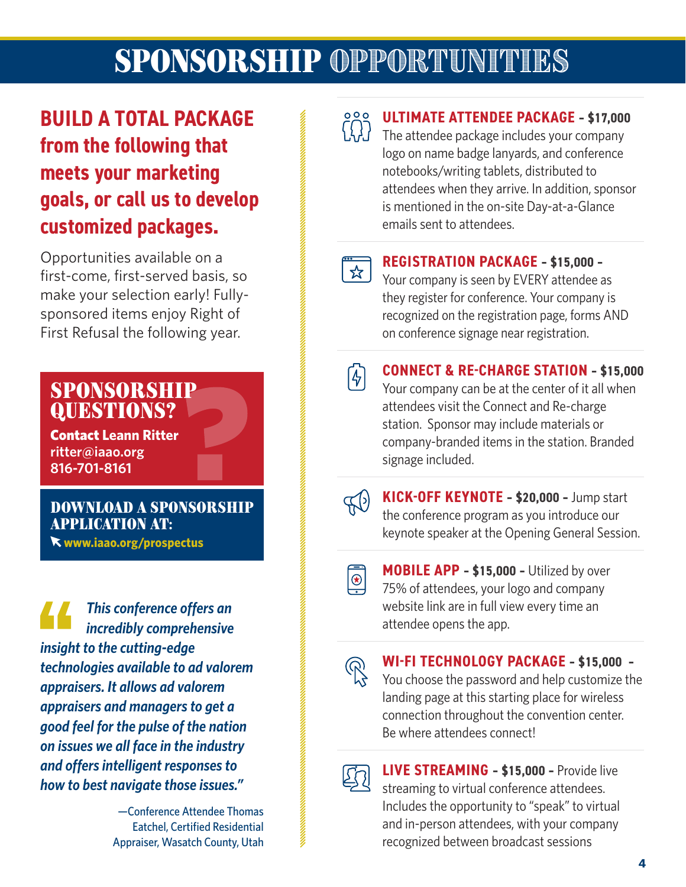## SPONSORSHIP OPPORTUNITIES

## **BUILD A TOTAL PACKAGE from the following that meets your marketing goals, or call us to develop customized packages.**

Opportunities available on a first-come, first-served basis, so make your selection early! Fullysponsored items enjoy Right of First Refusal the following year.

#### SPONSORSHIP QUESTIONS?

Contact **Leann Ritter [ritter@iaao.org](mailto:ritter%40iaao.org?subject=2020%20IAAO%20Conference%20Sponsorship/Advertising) 816-701-8161**

DOWNLOAD A SPONSORSHIP APPLICATION AT:

**[www.iaao.org/prospectus](http://iaao.org/prospectus)**

*This conference offers an incredibly comprehensive insight to the cutting-edge technologies available to ad valorem appraisers. It allows ad valorem appraisers and managers to get a good feel for the pulse of the nation on issues we all face in the industry and offers intelligent responses to how to best navigate those issues."*

> —Conference Attendee Thomas Eatchel, Certified Residential Appraiser, Wasatch County, Utah



#### **ULTIMATE ATTENDEE PACKAGE – \$17,000**

The attendee package includes your company logo on name badge lanyards, and conference notebooks/writing tablets, distributed to attendees when they arrive. In addition, sponsor is mentioned in the on-site Day-at-a-Glance emails sent to attendees.



#### **REGISTRATION PACKAGE – \$15,000 –**

Your company is seen by EVERY attendee as they register for conference. Your company is recognized on the registration page, forms AND on conference signage near registration.

闲

#### **CONNECT & RE-CHARGE STATION – \$15,000**

Your company can be at the center of it all when attendees visit the Connect and Re-charge station. Sponsor may include materials or company-branded items in the station. Branded signage included.



**KICK-OFF KEYNOTE – \$20,000 –** Jump start the conference program as you introduce our keynote speaker at the Opening General Session.



**MOBILE APP – \$15,000 –** Utilized by over 75% of attendees, your logo and company website link are in full view every time an attendee opens the app.



**WI-FI TECHNOLOGY PACKAGE – \$15,000 –** You choose the password and help customize the landing page at this starting place for wireless connection throughout the convention center. Be where attendees connect!



**LIVE STREAMING – \$15,000 –** Provide live streaming to virtual conference attendees. Includes the opportunity to "speak" to virtual and in-person attendees, with your company recognized between broadcast sessions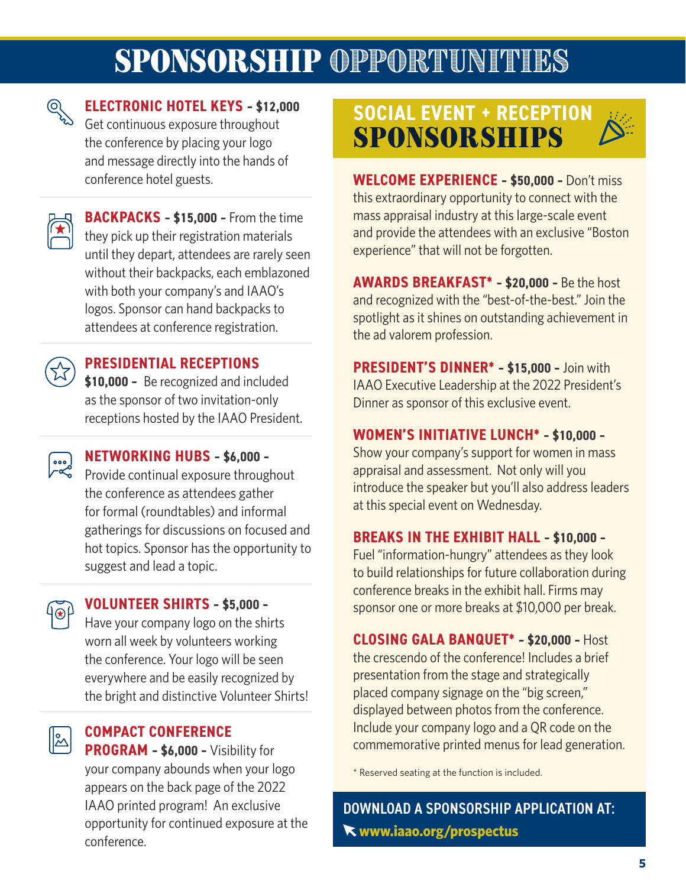## SPONSORSHIP OPPORTUNITIES



### **ELECTRONIC HOTEL KEYS – \$12,000**

Get continuous exposure throughout the conference by placing your logo and message directly into the hands of conference hotel guests.

 $\mathbf{F}$ 

**BACKPACKS – \$15,000 –** From the time they pick up their registration materials until they depart, attendees are rarely seen without their backpacks, each emblazoned with both your company's and IAAO's logos. Sponsor can hand backpacks to attendees at conference registration.



#### **PRESIDENTIAL RECEPTIONS**

**\$10,000 –** Be recognized and included as the sponsor of two invitation-only receptions hosted by the IAAO President.



**NETWORKING HUBS – \$6,000 –**

Provide continual exposure throughout the conference as attendees gather for formal (roundtables) and informal gatherings for discussions on focused and hot topics. Sponsor has the opportunity to suggest and lead a topic.

### $\{\overline{\circ}\}$

**VOLUNTEER SHIRTS – \$5,000 –**

Have your company logo on the shirts worn all week by volunteers working the conference. Your logo will be seen everywhere and be easily recognized by the bright and distinctive Volunteer Shirts!

## $\mathbb{Z}$

**COMPACT CONFERENCE PROGRAM – \$6,000 –** Visibility for

your company abounds when your logo appears on the back page of the 2022 IAAO printed program! An exclusive opportunity for continued exposure at the conference.

### **SOCIAL EVENT + RECEPTION**  SPONSORSHIPS



**WELCOME EXPERIENCE – \$50,000 –** Don't miss this extraordinary opportunity to connect with the mass appraisal industry at this large-scale event and provide the attendees with an exclusive "Boston experience" that will not be forgotten.

**AWARDS BREAKFAST\* – \$20,000 –** Be the host and recognized with the "best-of-the-best." Join the spotlight as it shines on outstanding achievement in the ad valorem profession.

**PRESIDENT'S DINNER\* – \$15,000 –** Join with IAAO Executive Leadership at the 2022 President's Dinner as sponsor of this exclusive event.

#### **WOMEN'S INITIATIVE LUNCH\* – \$10,000 –**

Show your company's support for women in mass appraisal and assessment. Not only will you introduce the speaker but you'll also address leaders at this special event on Wednesday.

#### **BREAKS IN THE EXHIBIT HALL – \$10,000 –**

Fuel "information-hungry" attendees as they look to build relationships for future collaboration during conference breaks in the exhibit hall. Firms may sponsor one or more breaks at \$10,000 per break.

**CLOSING GALA BANQUET\* – \$20,000 –** Host the crescendo of the conference! Includes a brief presentation from the stage and strategically placed company signage on the "big screen," displayed between photos from the conference. Include your company logo and a QR code on the commemorative printed menus for lead generation.

\* Reserved seating at the function is included.

DOWNLOAD A SPONSORSHIP APPLICATION AT: **[www.iaao.org/prospectus](http://iaao.org/prospectus)**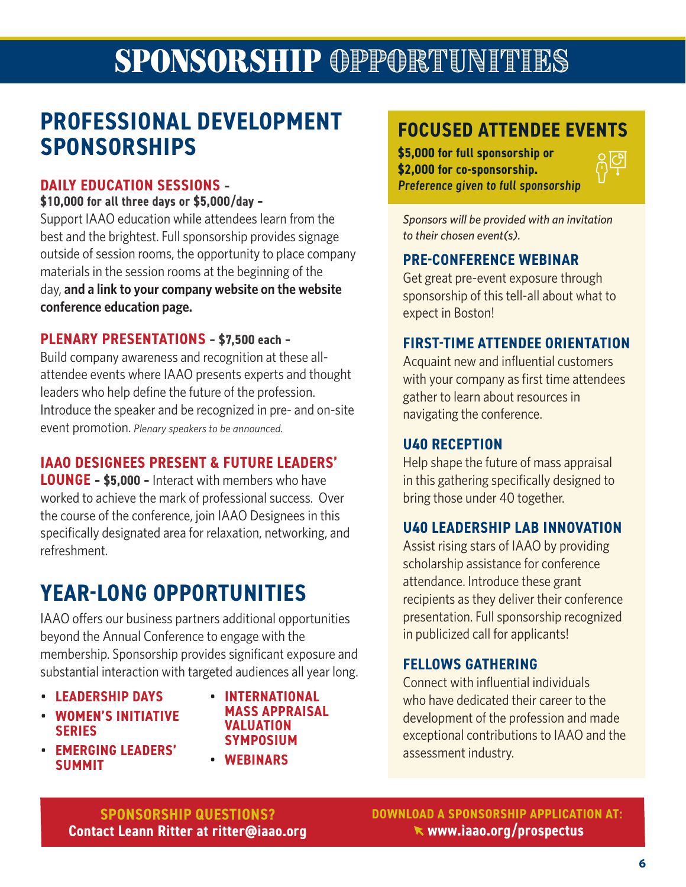## SPONSORSHIP OPPORTUNITIES

## **PROFESSIONAL DEVELOPMENT SPONSORSHIPS**

#### **DAILY EDUCATION SESSIONS –**

#### **\$10,000 for all three days or \$5,000/day –**

Support IAAO education while attendees learn from the best and the brightest. Full sponsorship provides signage outside of session rooms, the opportunity to place company materials in the session rooms at the beginning of the day, **and a link to your company website on the website conference education page.** 

#### **PLENARY PRESENTATIONS – \$7,500 each –**

Build company awareness and recognition at these allattendee events where IAAO presents experts and thought leaders who help define the future of the profession. Introduce the speaker and be recognized in pre- and on-site event promotion. *Plenary speakers to be announced.*

#### **IAAO DESIGNEES PRESENT & FUTURE LEADERS'**

**LOUNGE – \$5,000 –** Interact with members who have worked to achieve the mark of professional success. Over the course of the conference, join IAAO Designees in this specifically designated area for relaxation, networking, and refreshment.

## **YEAR-LONG OPPORTUNITIES**

IAAO offers our business partners additional opportunities beyond the Annual Conference to engage with the membership. Sponsorship provides significant exposure and substantial interaction with targeted audiences all year long.

- **LEADERSHIP DAYS**
- **WOMEN'S INITIATIVE SERIES**
- **EMERGING LEADERS' SUMMIT**
- **INTERNATIONAL MASS APPRAISAL VALUATION SYMPOSIUM**
- **WEBINARS**

### **FOCUSED ATTENDEE EVENTS**

**\$5,000 for full sponsorship or \$2,000 for co-sponsorship.**  Preference given to full sponsorship



*Sponsors will be provided with an invitation to their chosen event(s).* 

#### **PRE-CONFERENCE WEBINAR**

Get great pre-event exposure through sponsorship of this tell-all about what to expect in Boston!

#### **FIRST-TIME ATTENDEE ORIENTATION**

Acquaint new and influential customers with your company as first time attendees gather to learn about resources in navigating the conference.

#### **U40 RECEPTION**

Help shape the future of mass appraisal in this gathering specifically designed to bring those under 40 together.

#### **U40 LEADERSHIP LAB INNOVATION**

Assist rising stars of IAAO by providing scholarship assistance for conference attendance. Introduce these grant recipients as they deliver their conference presentation. Full sponsorship recognized in publicized call for applicants!

#### **FELLOWS GATHERING**

Connect with influential individuals who have dedicated their career to the development of the profession and made exceptional contributions to IAAO and the assessment industry.

**SPONSORSHIP QUESTIONS? Contact Leann Ritter at [ritter@iaao.org](mailto:ritter%40iaao.org?subject=2020%20IAAO%20Conference%20Sponsorship/Advertising)** **DOWNLOAD A SPONSORSHIP APPLICATION AT: [www.iaao.org/prospectus](http://www.iaao.org/prospectus)**